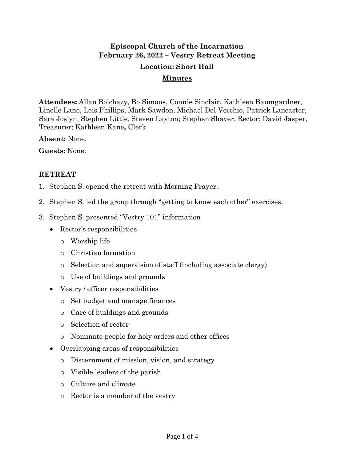# **Episcopal Church of the Incarnation February 26, 2022 – Vestry Retreat Meeting**

### **Location: Short Hall**

#### **Minutes**

**Attendees:** Allan Bolchazy, Bo Simons, Connie Sinclair, Kathleen Baumgardner, Linelle Lane, Lois Phillips, Mark Sawdon, Michael Del Vecchio, Patrick Lancaster, Sara Joslyn, Stephen Little, Steven Layton; Stephen Shaver, Rector; David Jasper, Treasurer; Kathleen Kane**,** Clerk.

**Absent:** None.

**Guests:** None.

## **RETREAT**

- 1. Stephen S. opened the retreat with Morning Prayer.
- 2. Stephen S. led the group through "getting to know each other" exercises.
- 3. Stephen S. presented "Vestry 101" information
	- Rector's responsibilities
		- o Worship life
		- o Christian formation
		- o Selection and supervision of staff (including associate clergy)
		- o Use of buildings and grounds
	- Vestry / officer responsibilities
		- o Set budget and manage finances
		- o Care of buildings and grounds
		- o Selection of rector
		- o Nominate people for holy orders and other offices
	- Overlapping areas of responsibilities
		- o Discernment of mission, vision, and strategy
		- o Visible leaders of the parish
		- o Culture and climate
		- o Rector is a member of the vestry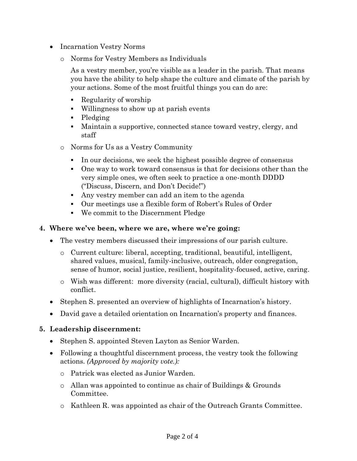- Incarnation Vestry Norms
	- o Norms for Vestry Members as Individuals

As a vestry member, you're visible as a leader in the parish. That means you have the ability to help shape the culture and climate of the parish by your actions. Some of the most fruitful things you can do are:

- Regularity of worship
- Willingness to show up at parish events
- Pledging
- Maintain a supportive, connected stance toward vestry, clergy, and staff
- o Norms for Us as a Vestry Community
	- In our decisions, we seek the highest possible degree of consensus
	- One way to work toward consensus is that for decisions other than the very simple ones, we often seek to practice a one-month DDDD ("Discuss, Discern, and Don't Decide!")
	- Any vestry member can add an item to the agenda
	- Our meetings use a flexible form of Robert's Rules of Order
	- We commit to the Discernment Pledge

#### **4. Where we've been, where we are, where we're going:**

- The vestry members discussed their impressions of our parish culture.
	- o Current culture: liberal, accepting, traditional, beautiful, intelligent, shared values, musical, family-inclusive, outreach, older congregation, sense of humor, social justice, resilient, hospitality-focused, active, caring.
	- o Wish was different: more diversity (racial, cultural), difficult history with conflict.
- Stephen S. presented an overview of highlights of Incarnation's history.
- David gave a detailed orientation on Incarnation's property and finances.

## **5. Leadership discernment:**

- Stephen S. appointed Steven Layton as Senior Warden.
- Following a thoughtful discernment process, the vestry took the following actions. *(Approved by majority vote.):*
	- o Patrick was elected as Junior Warden.
	- $\circ$  Allan was appointed to continue as chair of Buildings & Grounds Committee.
	- o Kathleen R. was appointed as chair of the Outreach Grants Committee.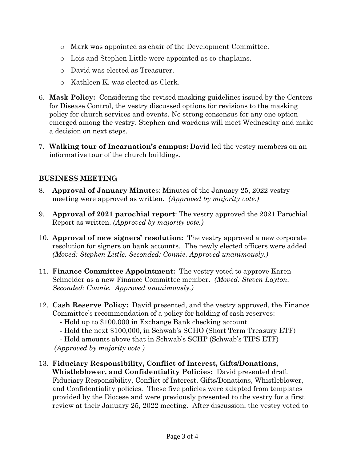- o Mark was appointed as chair of the Development Committee.
- o Lois and Stephen Little were appointed as co-chaplains.
- o David was elected as Treasurer.
- o Kathleen K. was elected as Clerk.
- 6. **Mask Policy:** Considering the revised masking guidelines issued by the Centers for Disease Control, the vestry discussed options for revisions to the masking policy for church services and events. No strong consensus for any one option emerged among the vestry. Stephen and wardens will meet Wednesday and make a decision on next steps.
- 7. **Walking tour of Incarnation's campus:** David led the vestry members on an informative tour of the church buildings.

# **BUSINESS MEETING**

- 8. **Approval of January Minute**s: Minutes of the January 25, 2022 vestry meeting were approved as written. *(Approved by majority vote.)*
- 9. **Approval of 2021 parochial report**: The vestry approved the 2021 Parochial Report as written. *(Approved by majority vote.)*
- 10. **Approval of new signers' resolution:** The vestry approved a new corporate resolution for signers on bank accounts. The newly elected officers were added. *(Moved: Stephen Little. Seconded: Connie. Approved unanimously.)*
- 11. **Finance Committee Appointment:** The vestry voted to approve Karen Schneider as a new Finance Committee member. *(Moved: Steven Layton. Seconded: Connie. Approved unanimously.)*
- 12. **Cash Reserve Policy:** David presented, and the vestry approved, the Finance Committee's recommendation of a policy for holding of cash reserves:
	- Hold up to \$100,000 in Exchange Bank checking account
	- Hold the next \$100,000, in Schwab's SCHO (Short Term Treasury ETF)

- Hold amounts above that in Schwab's SCHP (Schwab's TIPS ETF) *(Approved by majority vote.)*

13. **Fiduciary Responsibility, Conflict of Interest, Gifts/Donations, Whistleblower, and Confidentiality Policies:** David presented draft Fiduciary Responsibility, Conflict of Interest, Gifts/Donations, Whistleblower, and Confidentiality policies. These five policies were adapted from templates provided by the Diocese and were previously presented to the vestry for a first review at their January 25, 2022 meeting. After discussion, the vestry voted to